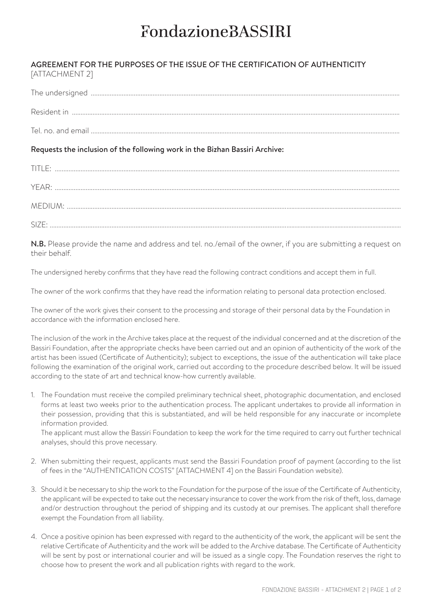## **FondazioneBASSIRI**

## AGREEMENT FOR THE PURPOSES OF THE ISSUE OF THE CERTIFICATION OF AUTHENTICITY [ATTACHMENT 2]

| Tel no and email and the state of the state of the state of the state of the state of the state of the state of the state of the state of the state of the state of the state of the state of the state of the state of the st |
|--------------------------------------------------------------------------------------------------------------------------------------------------------------------------------------------------------------------------------|

## Requests the inclusion of the following work in the Bizhan Bassiri Archive:

| TITLE |
|-------|
| YFAR· |
|       |
| SIZF  |

N.B. Please provide the name and address and tel. no./email of the owner, if you are submitting a request on their behalf.

The undersigned hereby confirms that they have read the following contract conditions and accept them in full.

The owner of the work confirms that they have read the information relating to personal data protection enclosed.

The owner of the work gives their consent to the processing and storage of their personal data by the Foundation in accordance with the information enclosed here.

The inclusion of the work in the Archive takes place at the request of the individual concerned and at the discretion of the Bassiri Foundation, after the appropriate checks have been carried out and an opinion of authenticity of the work of the artist has been issued (Certificate of Authenticity); subject to exceptions, the issue of the authentication will take place following the examination of the original work, carried out according to the procedure described below. It will be issued according to the state of art and technical know-how currently available.

1. The Foundation must receive the compiled preliminary technical sheet, photographic documentation, and enclosed forms at least two weeks prior to the authentication process. The applicant undertakes to provide all information in their possession, providing that this is substantiated, and will be held responsible for any inaccurate or incomplete information provided.

The applicant must allow the Bassiri Foundation to keep the work for the time required to carry out further technical analyses, should this prove necessary.

- 2. When submitting their request, applicants must send the Bassiri Foundation proof of payment (according to the list of fees in the "AUTHENTICATION COSTS" [ATTACHMENT 4] on the Bassiri Foundation website).
- 3. Should it be necessary to ship the work to the Foundation for the purpose of the issue of the Certificate of Authenticity, the applicant will be expected to take out the necessary insurance to cover the work from the risk of theft, loss, damage and/or destruction throughout the period of shipping and its custody at our premises. The applicant shall therefore exempt the Foundation from all liability.
- 4. Once a positive opinion has been expressed with regard to the authenticity of the work, the applicant will be sent the relative Certificate of Authenticity and the work will be added to the Archive database. The Certificate of Authenticity will be sent by post or international courier and will be issued as a single copy. The Foundation reserves the right to choose how to present the work and all publication rights with regard to the work.